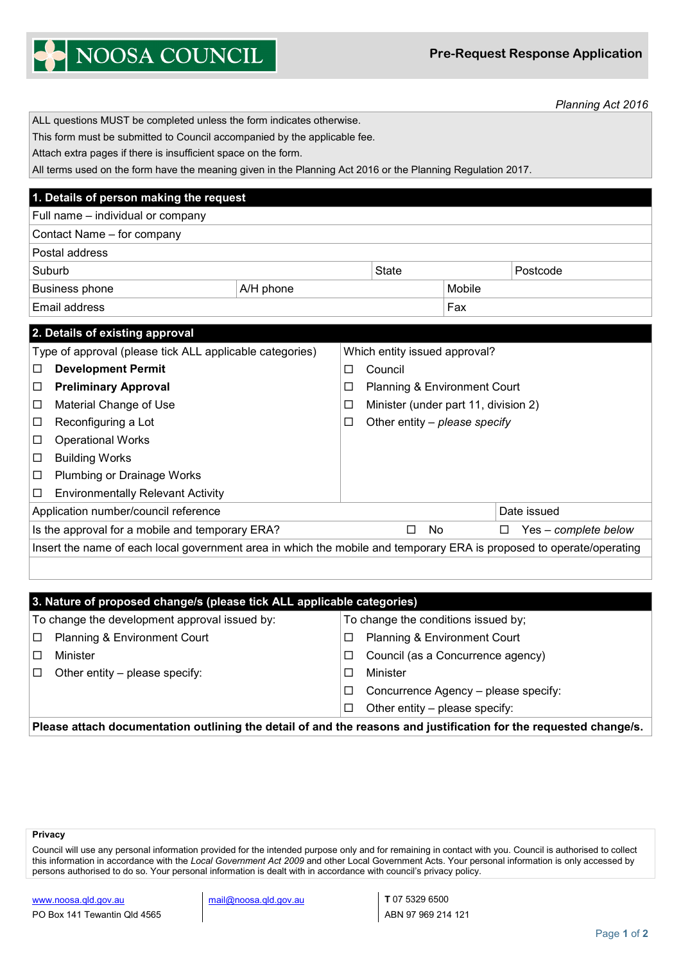**Pre-Request Response Application**

|  | NOOSA COUNCIL |
|--|---------------|
|  |               |

*Planning Act 2016*

| ALL questions MUST be completed unless the form indicates otherwise.                                                 |                                                                                                             |                                           |                                     |                                      |                      |             |  |
|----------------------------------------------------------------------------------------------------------------------|-------------------------------------------------------------------------------------------------------------|-------------------------------------------|-------------------------------------|--------------------------------------|----------------------|-------------|--|
|                                                                                                                      | This form must be submitted to Council accompanied by the applicable fee.                                   |                                           |                                     |                                      |                      |             |  |
| Attach extra pages if there is insufficient space on the form.                                                       |                                                                                                             |                                           |                                     |                                      |                      |             |  |
|                                                                                                                      | All terms used on the form have the meaning given in the Planning Act 2016 or the Planning Regulation 2017. |                                           |                                     |                                      |                      |             |  |
|                                                                                                                      | 1. Details of person making the request                                                                     |                                           |                                     |                                      |                      |             |  |
|                                                                                                                      | Full name - individual or company                                                                           |                                           |                                     |                                      |                      |             |  |
|                                                                                                                      | Contact Name - for company                                                                                  |                                           |                                     |                                      |                      |             |  |
|                                                                                                                      | Postal address                                                                                              |                                           |                                     |                                      |                      |             |  |
|                                                                                                                      | Suburb                                                                                                      |                                           |                                     | State                                |                      | Postcode    |  |
|                                                                                                                      | <b>Business phone</b>                                                                                       | A/H phone                                 |                                     | Mobile                               |                      |             |  |
|                                                                                                                      | Email address                                                                                               |                                           |                                     |                                      | Fax                  |             |  |
|                                                                                                                      | 2. Details of existing approval                                                                             |                                           |                                     |                                      |                      |             |  |
|                                                                                                                      | Type of approval (please tick ALL applicable categories)                                                    |                                           |                                     | Which entity issued approval?        |                      |             |  |
| □                                                                                                                    | <b>Development Permit</b>                                                                                   |                                           | □                                   | Council                              |                      |             |  |
| □                                                                                                                    | <b>Preliminary Approval</b>                                                                                 |                                           | □<br>Planning & Environment Court   |                                      |                      |             |  |
| □                                                                                                                    | Material Change of Use                                                                                      |                                           | □                                   | Minister (under part 11, division 2) |                      |             |  |
| Reconfiguring a Lot<br>□                                                                                             |                                                                                                             | Other entity $-$ please specify<br>$\Box$ |                                     |                                      |                      |             |  |
| <b>Operational Works</b><br>□                                                                                        |                                                                                                             |                                           |                                     |                                      |                      |             |  |
| <b>Building Works</b><br>□                                                                                           |                                                                                                             |                                           |                                     |                                      |                      |             |  |
| Plumbing or Drainage Works<br>□                                                                                      |                                                                                                             |                                           |                                     |                                      |                      |             |  |
| □                                                                                                                    | <b>Environmentally Relevant Activity</b>                                                                    |                                           |                                     |                                      |                      |             |  |
| Application number/council reference                                                                                 |                                                                                                             |                                           |                                     |                                      |                      | Date issued |  |
| Is the approval for a mobile and temporary ERA?                                                                      |                                                                                                             |                                           | <b>No</b><br>□                      | □                                    | Yes - complete below |             |  |
| Insert the name of each local government area in which the mobile and temporary ERA is proposed to operate/operating |                                                                                                             |                                           |                                     |                                      |                      |             |  |
|                                                                                                                      |                                                                                                             |                                           |                                     |                                      |                      |             |  |
|                                                                                                                      |                                                                                                             |                                           |                                     |                                      |                      |             |  |
| 3. Nature of proposed change/s (please tick ALL applicable categories)                                               |                                                                                                             |                                           |                                     |                                      |                      |             |  |
| To change the development approval issued by:                                                                        |                                                                                                             |                                           | To change the conditions issued by; |                                      |                      |             |  |
| Planning & Environment Court<br>$\Box$                                                                               |                                                                                                             | Planning & Environment Court<br>□         |                                     |                                      |                      |             |  |
| □                                                                                                                    | Minister                                                                                                    |                                           | □                                   | Council (as a Concurrence agency)    |                      |             |  |
| □                                                                                                                    | Other entity - please specify:                                                                              |                                           | □                                   | Minister                             |                      |             |  |
|                                                                                                                      |                                                                                                             |                                           | □                                   | Concurrence Agency - please specify: |                      |             |  |

**Please attach documentation outlining the detail of and the reasons and justification for the requested change/s.**

## **Privacy**

Council will use any personal information provided for the intended purpose only and for remaining in contact with you. Council is authorised to collect this information in accordance with the *Local Government Act 2009* and other Local Government Acts. Your personal information is only accessed by persons authorised to do so. Your personal information is dealt with in accordance with council's privacy policy.

 $\Box$  Other entity – please specify: